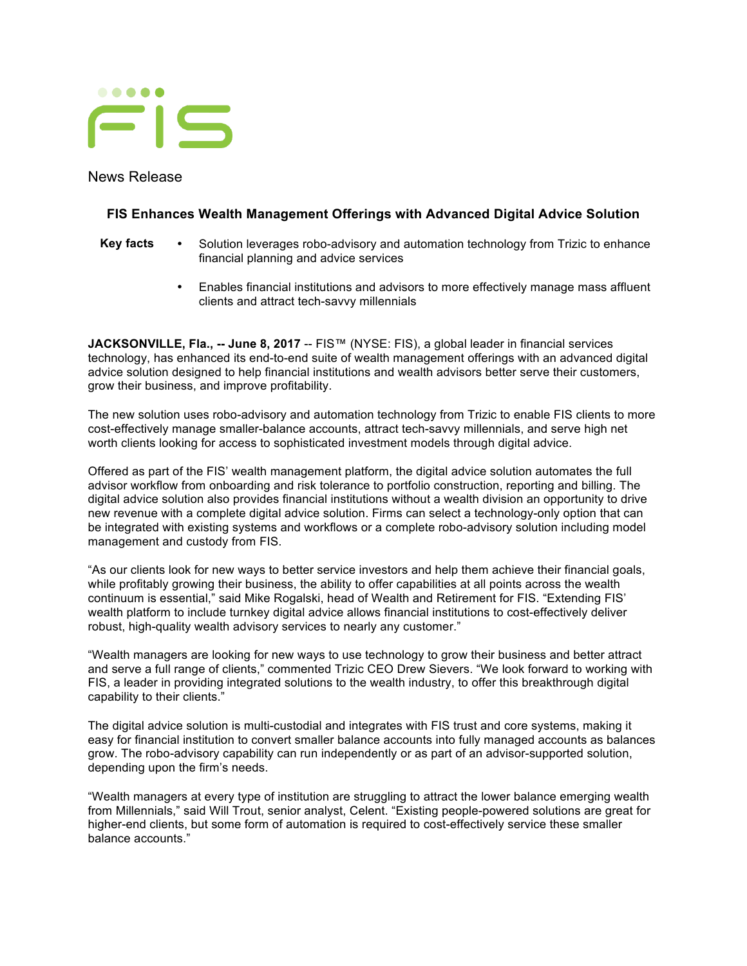

News Release

## **FIS Enhances Wealth Management Offerings with Advanced Digital Advice Solution**

- **Key facts** Solution leverages robo-advisory and automation technology from Trizic to enhance financial planning and advice services
	- Enables financial institutions and advisors to more effectively manage mass affluent clients and attract tech-savvy millennials

**JACKSONVILLE, Fla., -- June 8, 2017** -- FIS™ (NYSE: FIS), a global leader in financial services technology, has enhanced its end-to-end suite of wealth management offerings with an advanced digital advice solution designed to help financial institutions and wealth advisors better serve their customers, grow their business, and improve profitability.

The new solution uses robo-advisory and automation technology from Trizic to enable FIS clients to more cost-effectively manage smaller-balance accounts, attract tech-savvy millennials, and serve high net worth clients looking for access to sophisticated investment models through digital advice.

Offered as part of the FIS' wealth management platform, the digital advice solution automates the full advisor workflow from onboarding and risk tolerance to portfolio construction, reporting and billing. The digital advice solution also provides financial institutions without a wealth division an opportunity to drive new revenue with a complete digital advice solution. Firms can select a technology-only option that can be integrated with existing systems and workflows or a complete robo-advisory solution including model management and custody from FIS.

"As our clients look for new ways to better service investors and help them achieve their financial goals, while profitably growing their business, the ability to offer capabilities at all points across the wealth continuum is essential," said Mike Rogalski, head of Wealth and Retirement for FIS. "Extending FIS' wealth platform to include turnkey digital advice allows financial institutions to cost-effectively deliver robust, high-quality wealth advisory services to nearly any customer."

"Wealth managers are looking for new ways to use technology to grow their business and better attract and serve a full range of clients," commented Trizic CEO Drew Sievers. "We look forward to working with FIS, a leader in providing integrated solutions to the wealth industry, to offer this breakthrough digital capability to their clients."

The digital advice solution is multi-custodial and integrates with FIS trust and core systems, making it easy for financial institution to convert smaller balance accounts into fully managed accounts as balances grow. The robo-advisory capability can run independently or as part of an advisor-supported solution, depending upon the firm's needs.

"Wealth managers at every type of institution are struggling to attract the lower balance emerging wealth from Millennials," said Will Trout, senior analyst, Celent. "Existing people-powered solutions are great for higher-end clients, but some form of automation is required to cost-effectively service these smaller balance accounts."